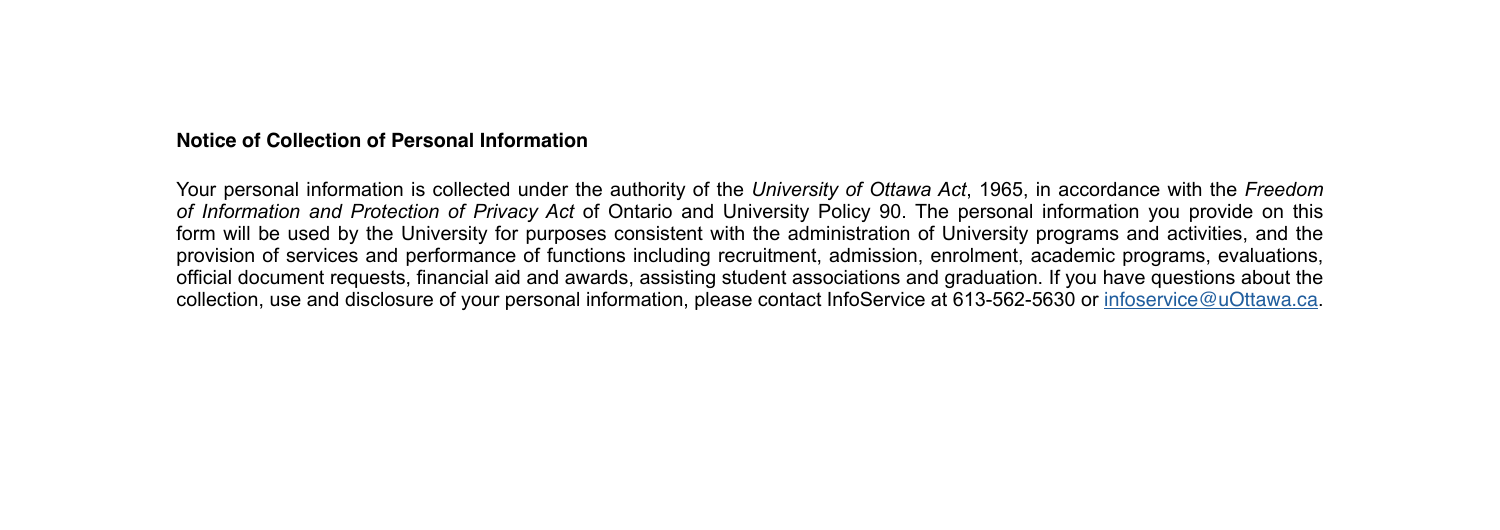#### **Notice of Collection of Personal Information**

Your personal information is collected under the authority of the *University of Ottawa Act*, 1965, in accordance with the *Freedom of Information and Protection of Privacy Act* of Ontario and University Policy 90. The personal information you provide on this form will be used by the University for purposes consistent with the administration of University programs and activities, and the provision of services and performance of functions including recruitment, admission, enrolment, academic programs, evaluations, official document requests, financial aid and awards, assisting student associations and graduation. If you have questions about the collection, use and disclosure of your personal information, please contact InfoService at 613-562-5630 or [infoservice@uOttawa.ca](mailto:infoservice%40uOttawa.ca?subject=).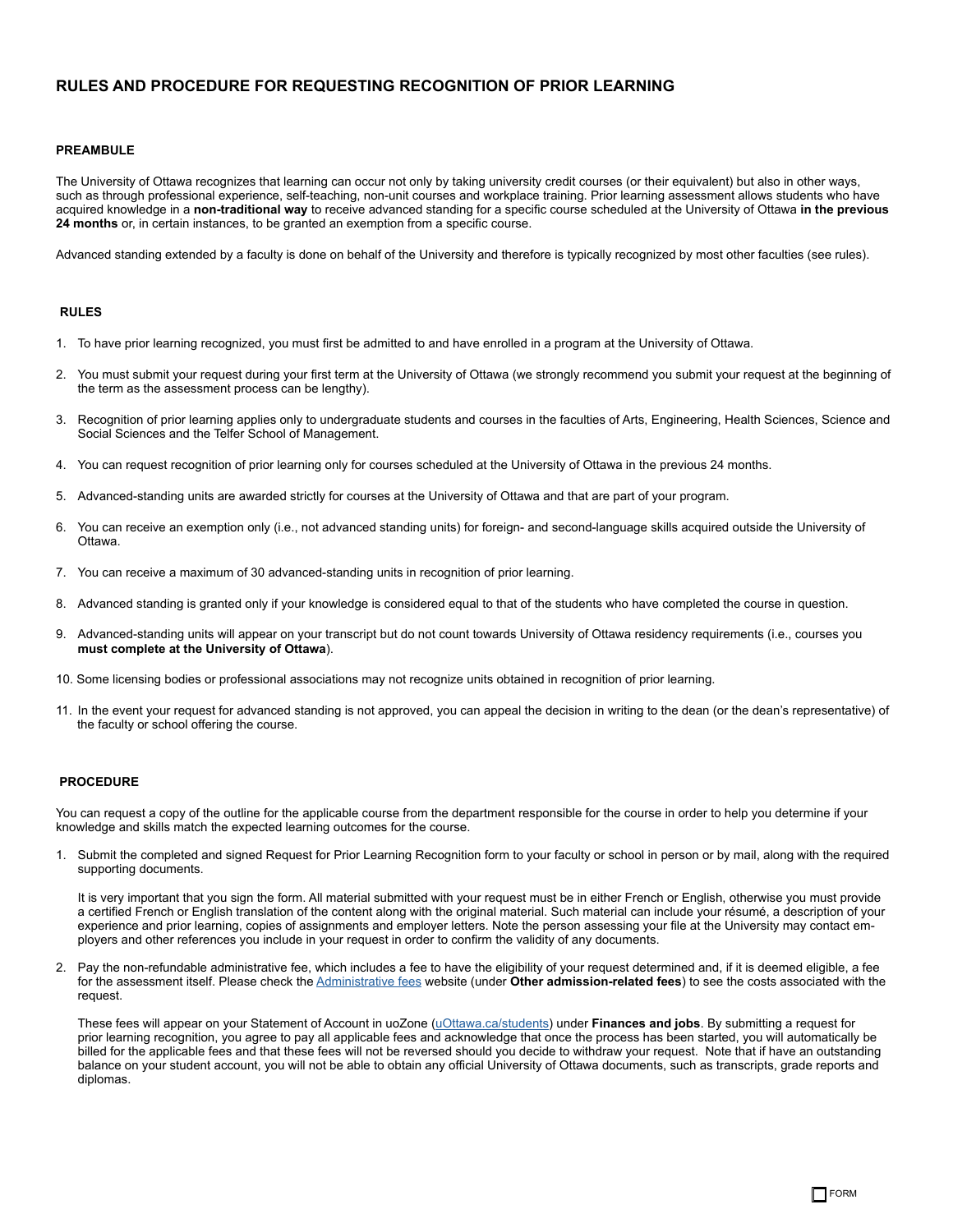### **RULES AND PROCEDURE FOR REQUESTING RECOGNITION OF PRIOR LEARNING**

#### **PREAMBULE**

The University of Ottawa recognizes that learning can occur not only by taking university credit courses (or their equivalent) but also in other ways, such as through professional experience, self-teaching, non-unit courses and workplace training. Prior learning assessment allows students who have acquired knowledge in a **non-traditional way** to receive advanced standing for a specific course scheduled at the University of Ottawa **in the previous 24 months** or, in certain instances, to be granted an exemption from a specific course.

Advanced standing extended by a faculty is done on behalf of the University and therefore is typically recognized by most other faculties (see rules).

#### **RULES**

- 1. To have prior learning recognized, you must first be admitted to and have enrolled in a program at the University of Ottawa.
- 2. You must submit your request during your first term at the University of Ottawa (we strongly recommend you submit your request at the beginning of the term as the assessment process can be lengthy).
- 3. Recognition of prior learning applies only to undergraduate students and courses in the faculties of Arts, Engineering, Health Sciences, Science and Social Sciences and the Telfer School of Management.
- 4. You can request recognition of prior learning only for courses scheduled at the University of Ottawa in the previous 24 months.
- 5. Advanced-standing units are awarded strictly for courses at the University of Ottawa and that are part of your program.
- 6. You can receive an exemption only (i.e., not advanced standing units) for foreign- and second-language skills acquired outside the University of Ottawa.
- 7. You can receive a maximum of 30 advanced-standing units in recognition of prior learning.
- 8. Advanced standing is granted only if your knowledge is considered equal to that of the students who have completed the course in question.
- 9. Advanced-standing units will appear on your transcript but do not count towards University of Ottawa residency requirements (i.e., courses you **must complete at the University of Ottawa**).
- 10. Some licensing bodies or professional associations may not recognize units obtained in recognition of prior learning.
- 11. In the event your request for advanced standing is not approved, you can appeal the decision in writing to the dean (or the dean's representative) of the faculty or school offering the course.

#### **PROCEDURE**

You can request a copy of the outline for the applicable course from the department responsible for the course in order to help you determine if your knowledge and skills match the expected learning outcomes for the course.

1. Submit the completed and signed Request for Prior Learning Recognition form to your faculty or school in person or by mail, along with the required supporting documents.

It is very important that you sign the form. All material submitted with your request must be in either French or English, otherwise you must provide a certified French or English translation of the content along with the original material. Such material can include your résumé, a description of your experience and prior learning, copies of assignments and employer letters. Note the person assessing your file at the University may contact employers and other references you include in your request in order to confirm the validity of any documents.

2. Pay the non-refundable administrative fee, which includes a fee to have the eligibility of your request determined and, if it is deemed eligible, a fee for the assessment itself. Please check the [Administrative fees](https://www.uottawa.ca/university-fees/administrative-fees) website (under **Other admission-related fees**) to see the costs associated with the request.

These fees will appear on your Statement of Account in uoZone ([uOttawa.ca/students](http://www.uottawa.ca/en/students)) under **Finances and jobs**. By submitting a request for prior learning recognition, you agree to pay all applicable fees and acknowledge that once the process has been started, you will automatically be billed for the applicable fees and that these fees will not be reversed should you decide to withdraw your request. Note that if have an outstanding balance on your student account, you will not be able to obtain any official University of Ottawa documents, such as transcripts, grade reports and diplomas.